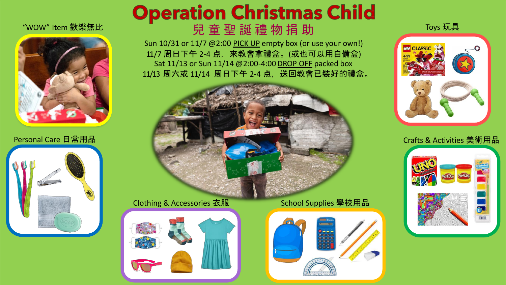



# **Operation Christmas Child** "WOW" Item 歡樂無比

Sun 10/31 or 11/7 @2:00 PICK UP empty box (or use your own!) 11/7 周日下午 2-4 点, 來教會拿禮盒。(或也可以用自備盒) Sat 11/13 or Sun 11/14 @2:00-4:00 DROP OFF packed box 11/13 周六或 11/14 周日下午 2-4 点,送回教會已裝好的禮盒。



# Clothing & Accessories 衣服 School Supplies 學校用品





Toys 玩具